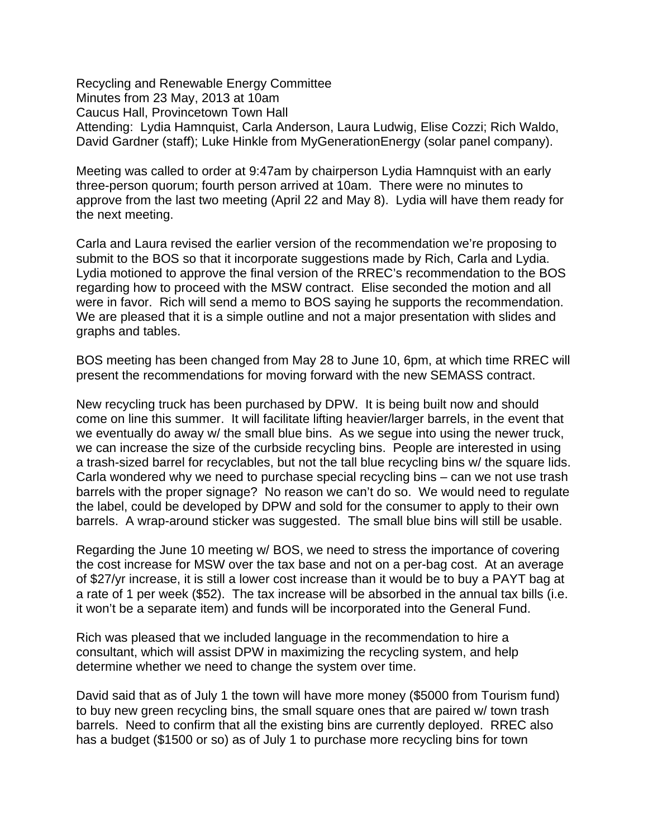Recycling and Renewable Energy Committee Minutes from 23 May, 2013 at 10am Caucus Hall, Provincetown Town Hall Attending: Lydia Hamnquist, Carla Anderson, Laura Ludwig, Elise Cozzi; Rich Waldo, David Gardner (staff); Luke Hinkle from MyGenerationEnergy (solar panel company).

Meeting was called to order at 9:47am by chairperson Lydia Hamnquist with an early three-person quorum; fourth person arrived at 10am. There were no minutes to approve from the last two meeting (April 22 and May 8). Lydia will have them ready for the next meeting.

Carla and Laura revised the earlier version of the recommendation we're proposing to submit to the BOS so that it incorporate suggestions made by Rich, Carla and Lydia. Lydia motioned to approve the final version of the RREC's recommendation to the BOS regarding how to proceed with the MSW contract. Elise seconded the motion and all were in favor. Rich will send a memo to BOS saying he supports the recommendation. We are pleased that it is a simple outline and not a major presentation with slides and graphs and tables.

BOS meeting has been changed from May 28 to June 10, 6pm, at which time RREC will present the recommendations for moving forward with the new SEMASS contract.

New recycling truck has been purchased by DPW. It is being built now and should come on line this summer. It will facilitate lifting heavier/larger barrels, in the event that we eventually do away w/ the small blue bins. As we segue into using the newer truck, we can increase the size of the curbside recycling bins. People are interested in using a trash-sized barrel for recyclables, but not the tall blue recycling bins w/ the square lids. Carla wondered why we need to purchase special recycling bins – can we not use trash barrels with the proper signage? No reason we can't do so. We would need to regulate the label, could be developed by DPW and sold for the consumer to apply to their own barrels. A wrap-around sticker was suggested. The small blue bins will still be usable.

Regarding the June 10 meeting w/ BOS, we need to stress the importance of covering the cost increase for MSW over the tax base and not on a per-bag cost. At an average of \$27/yr increase, it is still a lower cost increase than it would be to buy a PAYT bag at a rate of 1 per week (\$52). The tax increase will be absorbed in the annual tax bills (i.e. it won't be a separate item) and funds will be incorporated into the General Fund.

Rich was pleased that we included language in the recommendation to hire a consultant, which will assist DPW in maximizing the recycling system, and help determine whether we need to change the system over time.

David said that as of July 1 the town will have more money (\$5000 from Tourism fund) to buy new green recycling bins, the small square ones that are paired w/ town trash barrels. Need to confirm that all the existing bins are currently deployed. RREC also has a budget (\$1500 or so) as of July 1 to purchase more recycling bins for town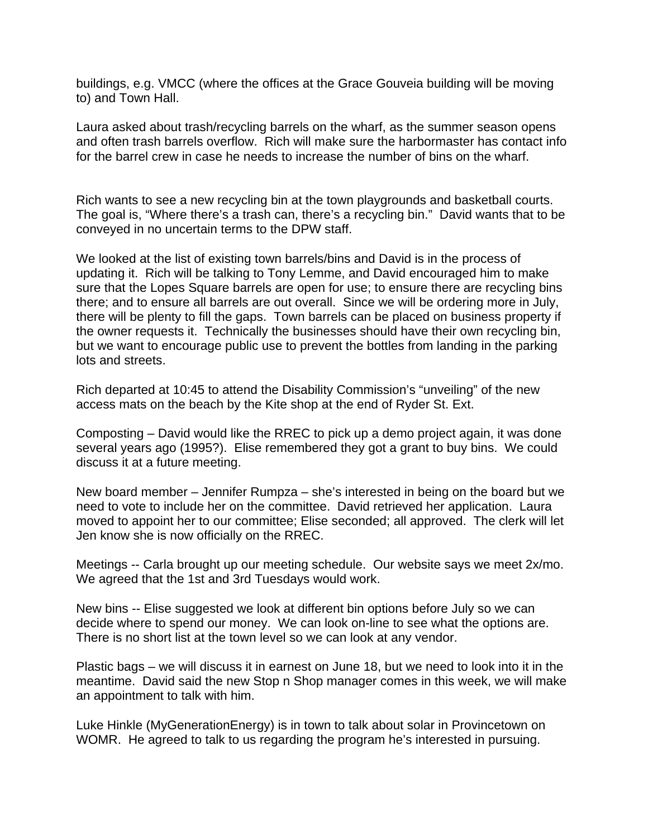buildings, e.g. VMCC (where the offices at the Grace Gouveia building will be moving to) and Town Hall.

Laura asked about trash/recycling barrels on the wharf, as the summer season opens and often trash barrels overflow. Rich will make sure the harbormaster has contact info for the barrel crew in case he needs to increase the number of bins on the wharf.

Rich wants to see a new recycling bin at the town playgrounds and basketball courts. The goal is, "Where there's a trash can, there's a recycling bin." David wants that to be conveyed in no uncertain terms to the DPW staff.

We looked at the list of existing town barrels/bins and David is in the process of updating it. Rich will be talking to Tony Lemme, and David encouraged him to make sure that the Lopes Square barrels are open for use; to ensure there are recycling bins there; and to ensure all barrels are out overall. Since we will be ordering more in July, there will be plenty to fill the gaps. Town barrels can be placed on business property if the owner requests it. Technically the businesses should have their own recycling bin, but we want to encourage public use to prevent the bottles from landing in the parking lots and streets.

Rich departed at 10:45 to attend the Disability Commission's "unveiling" of the new access mats on the beach by the Kite shop at the end of Ryder St. Ext.

Composting – David would like the RREC to pick up a demo project again, it was done several years ago (1995?). Elise remembered they got a grant to buy bins. We could discuss it at a future meeting.

New board member – Jennifer Rumpza – she's interested in being on the board but we need to vote to include her on the committee. David retrieved her application. Laura moved to appoint her to our committee; Elise seconded; all approved. The clerk will let Jen know she is now officially on the RREC.

Meetings -- Carla brought up our meeting schedule. Our website says we meet 2x/mo. We agreed that the 1st and 3rd Tuesdays would work.

New bins -- Elise suggested we look at different bin options before July so we can decide where to spend our money. We can look on-line to see what the options are. There is no short list at the town level so we can look at any vendor.

Plastic bags – we will discuss it in earnest on June 18, but we need to look into it in the meantime. David said the new Stop n Shop manager comes in this week, we will make an appointment to talk with him.

Luke Hinkle (MyGenerationEnergy) is in town to talk about solar in Provincetown on WOMR. He agreed to talk to us regarding the program he's interested in pursuing.